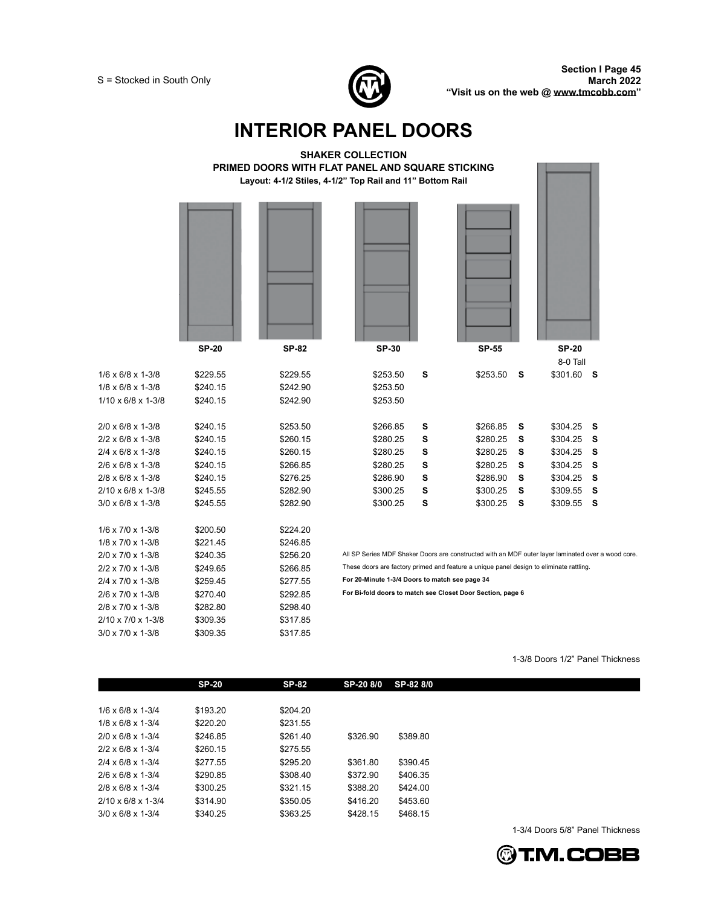



1-3/8 Doors 1/2" Panel Thickness

1-3/4 Doors 5/8" Panel Thickness

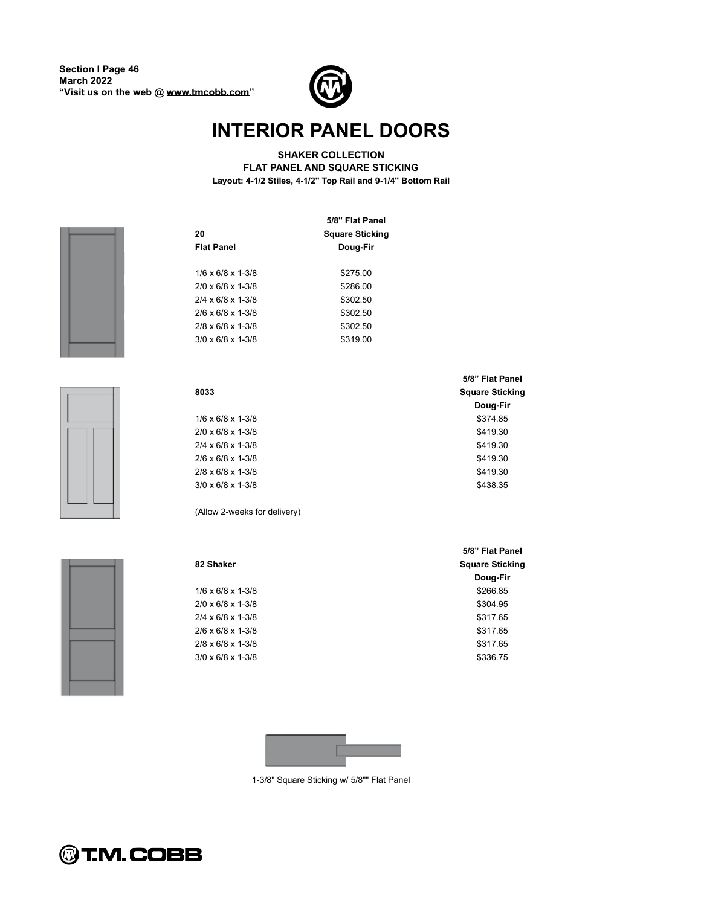

**SHAKER COLLECTION**

**FLAT PANEL AND SQUARE STICKING Layout: 4-1/2 Stiles, 4-1/2" Top Rail and 9-1/4" Bottom Rail** 







|                                 | 5/8" Flat Panel        |
|---------------------------------|------------------------|
| 20                              | <b>Square Sticking</b> |
| <b>Flat Panel</b>               | Doug-Fir               |
|                                 |                        |
| $1/6 \times 6/8 \times 1-3/8$   | \$275.00               |
| $2/0 \times 6/8 \times 1-3/8$   | \$286.00               |
| $2/4 \times 6/8 \times 1 - 3/8$ | \$302.50               |
| $2/6 \times 6/8 \times 1 - 3/8$ | \$302.50               |
| $2/8 \times 6/8 \times 1 - 3/8$ | \$302.50               |
| $3/0 \times 6/8 \times 1 - 3/8$ | \$319.00               |

|                                 | 5/8" Flat Panel        |
|---------------------------------|------------------------|
| 8033                            | <b>Square Sticking</b> |
|                                 | Doug-Fir               |
| $1/6 \times 6/8 \times 1-3/8$   | \$374.85               |
| $2/0 \times 6/8 \times 1 - 3/8$ | \$419.30               |
| $2/4 \times 6/8 \times 1 - 3/8$ | \$419.30               |
| $2/6 \times 6/8 \times 1 - 3/8$ | \$419.30               |
| $2/8 \times 6/8 \times 1 - 3/8$ | \$419.30               |
| $3/0 \times 6/8 \times 1 - 3/8$ | \$438.35               |

(Allow 2-weeks for delivery)

| 82 Shaker                     | <b>Square Sticking</b> |  |  |
|-------------------------------|------------------------|--|--|
|                               | Doug-Fir               |  |  |
| $1/6 \times 6/8 \times 1-3/8$ | \$266.85               |  |  |
| 2/0 x 6/8 x 1-3/8             | \$304.95               |  |  |
| 2/4 x 6/8 x 1-3/8             | \$317.65               |  |  |
| 2/6 x 6/8 x 1-3/8             | \$317.65               |  |  |
| 2/8 x 6/8 x 1-3/8             | \$317.65               |  |  |
| 3/0 x 6/8 x 1-3/8             | \$336.75               |  |  |
|                               |                        |  |  |

**5/8 Flat Panel**



1-3/8" Square Sticking w/ 5/8"" Flat Panel

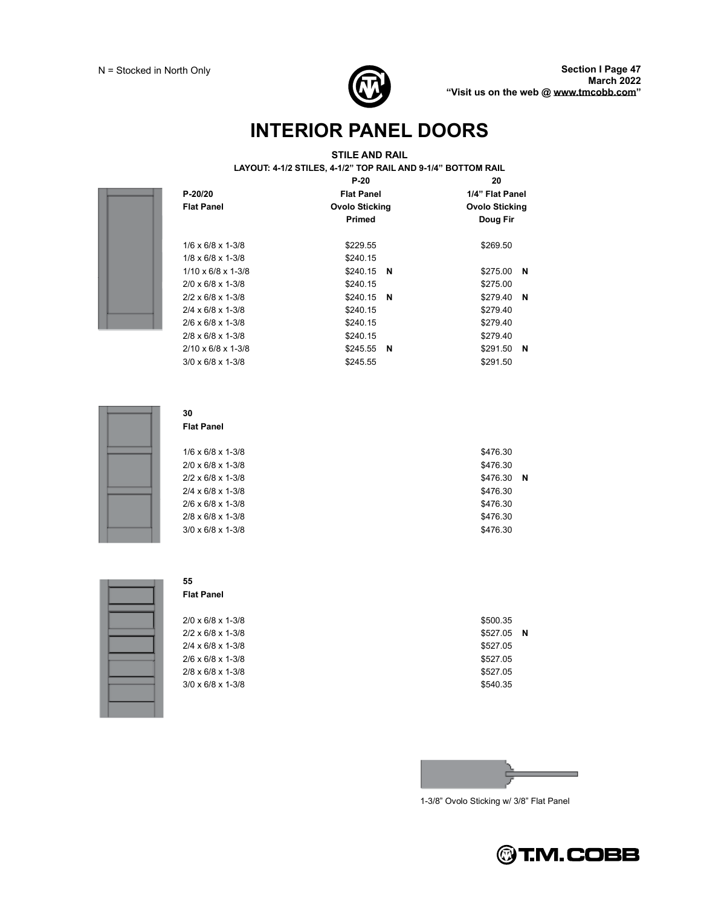

#### **STILE AND RAIL**

**LAYOUT: 4-1/2 STILES, 4-1/2 TOP RAIL AND 9-1/4 BOTTOM RAIL** 

|                                 | $P-20$                                         | 20                   |
|---------------------------------|------------------------------------------------|----------------------|
| $P - 20/20$                     | <b>Flat Panel</b>                              | 1/4" Flat Panel      |
| <b>Flat Panel</b>               | <b>Ovolo Sticking</b><br><b>Ovolo Sticking</b> |                      |
|                                 | Primed                                         | Doug Fir             |
| $1/6 \times 6/8 \times 1-3/8$   | \$229.55                                       | \$269.50             |
| $1/8 \times 6/8 \times 1 - 3/8$ | \$240.15                                       |                      |
| $1/10 \times 6/8 \times 1-3/8$  | \$240.15<br>N                                  | \$275.00<br>N        |
| $2/0 \times 6/8 \times 1 - 3/8$ | \$240.15                                       | \$275.00             |
| $2/2 \times 6/8 \times 1 - 3/8$ | \$240.15<br>N                                  | \$279.40<br><b>N</b> |
| $2/4 \times 6/8 \times 1 - 3/8$ | \$240.15                                       | \$279.40             |
| $2/6 \times 6/8 \times 1-3/8$   | \$240.15                                       | \$279.40             |
| $2/8 \times 6/8 \times 1 - 3/8$ | \$240.15                                       | \$279.40             |
| $2/10 \times 6/8 \times 1-3/8$  | \$245.55<br>N                                  | \$291.50<br>N        |
| $3/0 \times 6/8 \times 1 - 3/8$ | \$245.55                                       | \$291.50             |



#### **30 Flat Panel**

| $1/6 \times 6/8 \times 1-3/8$   | \$476.30 |     |
|---------------------------------|----------|-----|
| $2/0 \times 6/8 \times 1 - 3/8$ | \$476.30 |     |
| $2/2 \times 6/8 \times 1 - 3/8$ | \$476.30 | - N |
| $2/4 \times 6/8 \times 1 - 3/8$ | \$476.30 |     |
| $2/6 \times 6/8 \times 1 - 3/8$ | \$476.30 |     |
| $2/8 \times 6/8 \times 1 - 3/8$ | \$476.30 |     |
| $3/0 \times 6/8 \times 1 - 3/8$ | \$476.30 |     |
|                                 |          |     |



#### **55 Flat Panel**

| $2/0 \times 6/8 \times 1 - 3/8$ | \$500.35 |     |
|---------------------------------|----------|-----|
| $2/2 \times 6/8 \times 1 - 3/8$ | \$527.05 | - N |
| $2/4 \times 6/8 \times 1 - 3/8$ | \$527.05 |     |
| $2/6 \times 6/8 \times 1 - 3/8$ | \$527.05 |     |
| $2/8 \times 6/8 \times 1 - 3/8$ | \$527.05 |     |
| $3/0 \times 6/8 \times 1 - 3/8$ | \$540.35 |     |
|                                 |          |     |

| \$500.35 |   |
|----------|---|
| \$527.05 | Ν |
| \$527.05 |   |
| \$527.05 |   |
| \$527.05 |   |
| \$540.35 |   |



1-3/8" Ovolo Sticking w/ 3/8" Flat Panel

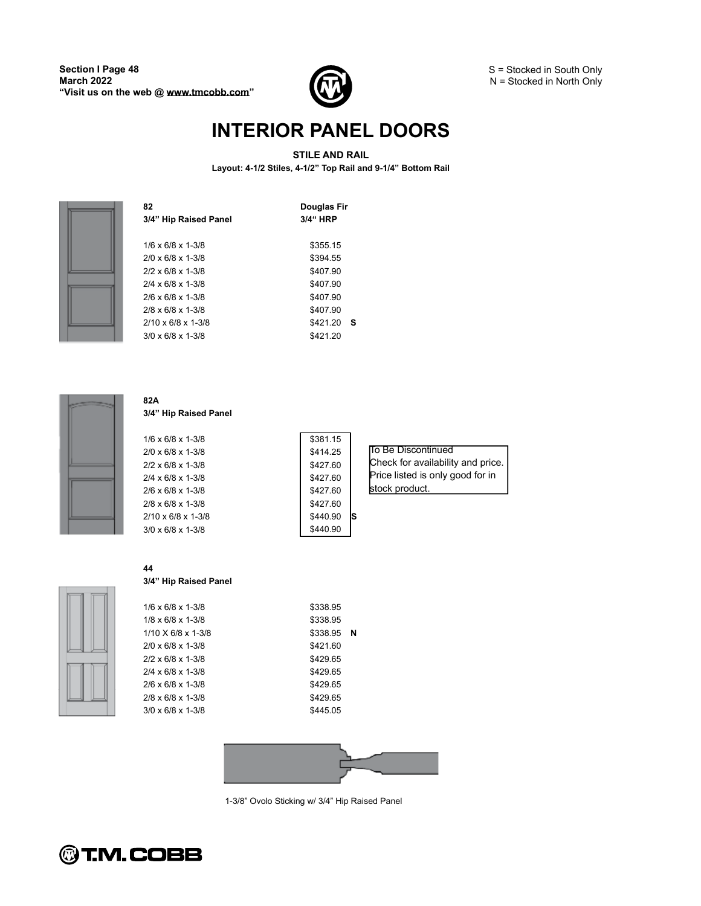

#### **STILE AND RAIL**

To Be Discontinued

stock product.

Check for availability and price. Price listed is only good for in

**Layout: 4-1/2 Stiles, 4-1/2 Top Rail and 9-1/4 Bottom Rail** 

| Douglas Fir<br>3/4" HRP |
|-------------------------|
| \$355.15                |
| \$394.55                |
| \$407.90                |
| \$407.90                |
| \$407.90                |
| \$407.90                |
| \$421.20<br>-S          |
| \$421.20                |
|                         |



#### **82A 3/4 Hip Raised Panel**

1/6 x 6/8 x 1-3/8 \$381.15 2/0 x 6/8 x 1-3/8 \$414.25 2/2 x 6/8 x 1-3/8 \$427.60 2/4 x 6/8 x 1-3/8 \$427.60 2/6 x 6/8 x 1-3/8 \$427.60 2/8 x 6/8 x 1-3/8 \$427.60 2/10 x 6/8 x 1-3/8 **S** \$440.90 **S**  $3/0 \times 6/8 \times 1 - 3/8$  \$440.90

| ٠ |  |
|---|--|
|   |  |
|   |  |

| 44 |  |  |
|----|--|--|
|    |  |  |

### **3/4 Hip Raised Panel**

| $1/6 \times 6/8 \times 1-3/8$ | \$338.95 |     |
|-------------------------------|----------|-----|
| $1/8 \times 6/8 \times 1-3/8$ | \$338.95 |     |
| 1/10 X 6/8 x 1-3/8            | \$338.95 | - N |
| 2/0 x 6/8 x 1-3/8             | \$421.60 |     |
| 2/2 x 6/8 x 1-3/8             | \$429.65 |     |
| 2/4 x 6/8 x 1-3/8             | \$429.65 |     |
| 2/6 x 6/8 x 1-3/8             | \$429.65 |     |
| 2/8 x 6/8 x 1-3/8             | \$429.65 |     |
| 3/0 x 6/8 x 1-3/8             | \$445.05 |     |
|                               |          |     |



1-3/8" Ovolo Sticking w/ 3/4" Hip Raised Panel

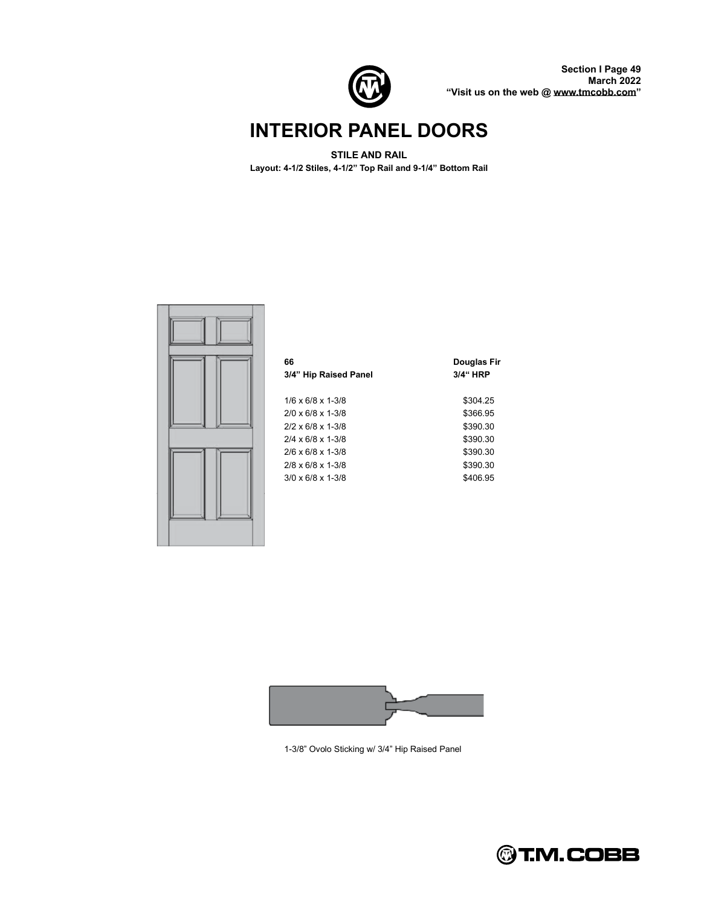

**Section I Page 49 March 2022 Visit us on the web @ [www.tmcobb.com](http://www.tmcobb.com)**

### **INTERIOR PANEL DOORS**

#### **STILE AND RAIL**

**Layout: 4-1/2 Stiles, 4-1/2 Top Rail and 9-1/4 Bottom Rail** 





1-3/8" Ovolo Sticking w/ 3/4" Hip Raised Panel

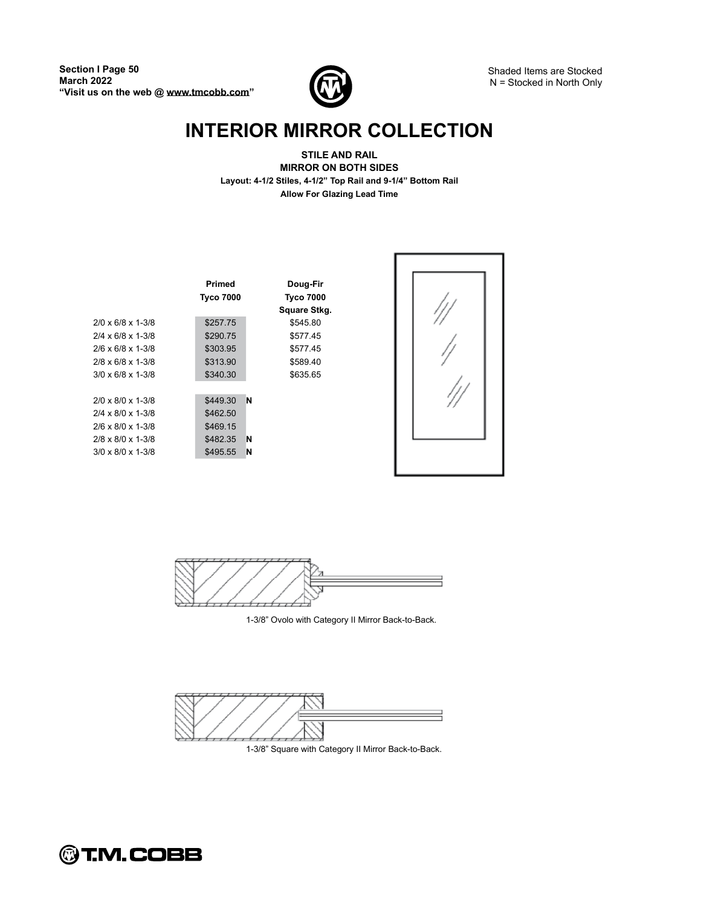

Shaded Items are Stocked N = Stocked in North Only

# **INTERIOR MIRROR COLLECTION**

**STILE AND RAIL MIRROR ON BOTH SIDES Layout: 4-1/2 Stiles, 4-1/2 Top Rail and 9-1/4 Bottom Rail Allow For Glazing Lead Time**

|                                 | <b>Primed</b>    | Doug-Fir         |  |
|---------------------------------|------------------|------------------|--|
|                                 | <b>Tyco 7000</b> | <b>Tyco 7000</b> |  |
|                                 |                  | Square Stkg.     |  |
| $2/0 \times 6/8 \times 1 - 3/8$ | \$257.75         | \$545.80         |  |
| $2/4 \times 6/8 \times 1 - 3/8$ | \$290.75         | \$577.45         |  |
| $2/6 \times 6/8 \times 1 - 3/8$ | \$303.95         | \$577.45         |  |
| $2/8 \times 6/8 \times 1 - 3/8$ | \$313.90         | \$589.40         |  |
| $3/0 \times 6/8 \times 1 - 3/8$ | \$340.30         | \$635.65         |  |
|                                 |                  |                  |  |
| $2/0 \times 8/0 \times 1-3/8$   | \$449.30         | N                |  |
| $2/4 \times 8/0 \times 1-3/8$   | \$462.50         |                  |  |
| $2/6 \times 8/0 \times 1-3/8$   | \$469.15         |                  |  |
| $2/8 \times 8/0 \times 1-3/8$   | \$482.35         | N                |  |
| $3/0 \times 8/0 \times 1 - 3/8$ | \$495.55         | N                |  |
|                                 |                  |                  |  |



1-3/8" Ovolo with Category II Mirror Back-to-Back.



1-3/8" Square with Category II Mirror Back-to-Back.

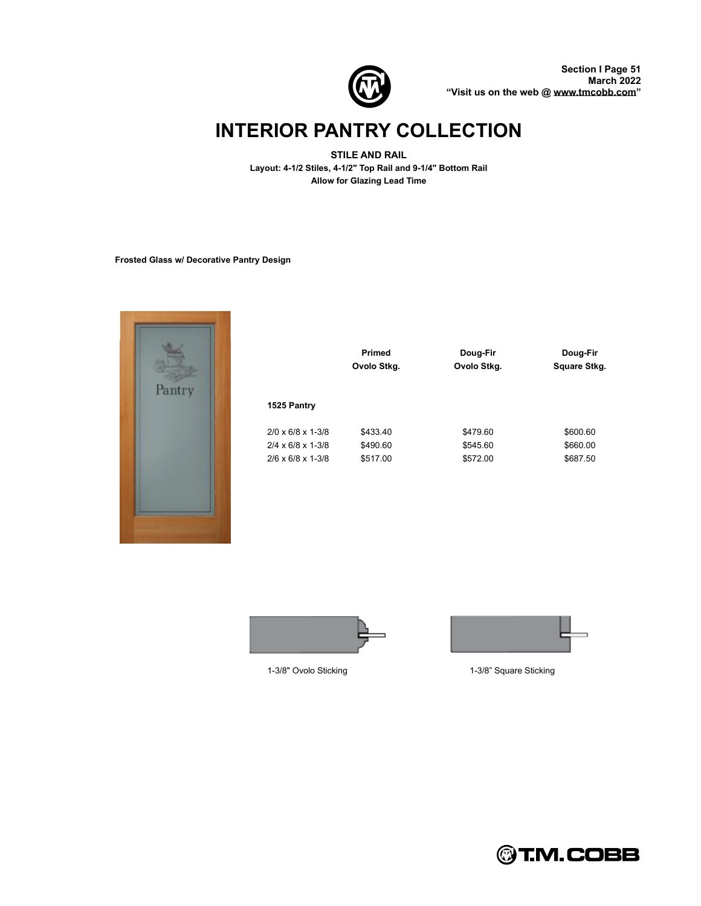

# **INTERIOR PANTRY COLLECTION**

**STILE AND RAIL Layout: 4-1/2 Stiles, 4-1/2" Top Rail and 9-1/4" Bottom Rail Allow for Glazing Lead Time**

**Frosted Glass w/ Decorative Pantry Design**



|                                 | <b>Primed</b> | Doug-Fir    | Doug-Fir     |
|---------------------------------|---------------|-------------|--------------|
|                                 | Ovolo Stkg.   | Ovolo Stkg. | Square Stkg. |
| 1525 Pantry                     |               |             |              |
| $2/0 \times 6/8 \times 1 - 3/8$ | \$433.40      | \$479.60    | \$600.60     |
| $2/4 \times 6/8 \times 1 - 3/8$ | \$490.60      | \$545.60    | \$660.00     |
| $2/6 \times 6/8 \times 1 - 3/8$ | \$517.00      | \$572.00    | \$687.50     |





1-3/8" Ovolo Sticking **1-3/8** Square Sticking